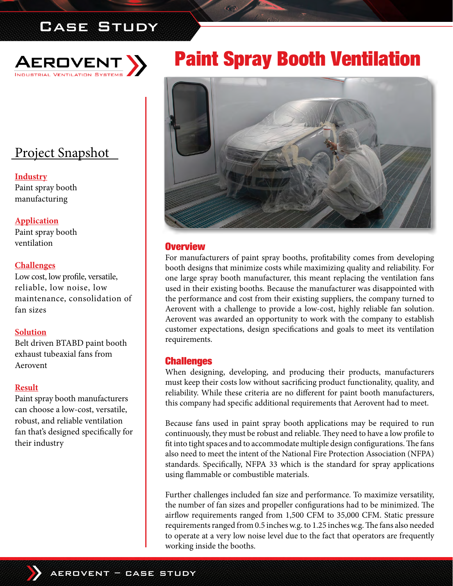# Case Study



# Project Snapshot

**Industry** Paint spray booth manufacturing

#### **Application**

Paint spray booth ventilation

#### **Challenges**

Low cost, low profile, versatile, reliable, low noise, low maintenance, consolidation of fan sizes

#### **Solution**

Belt driven BTABD paint booth exhaust tubeaxial fans from Aerovent

#### **Result**

Paint spray booth manufacturers can choose a low-cost, versatile, robust, and reliable ventilation fan that's designed specifically for their industry

# Paint Spray Booth Ventilation



#### **Overview**

For manufacturers of paint spray booths, profitability comes from developing booth designs that minimize costs while maximizing quality and reliability. For one large spray booth manufacturer, this meant replacing the ventilation fans used in their existing booths. Because the manufacturer was disappointed with the performance and cost from their existing suppliers, the company turned to Aerovent with a challenge to provide a low-cost, highly reliable fan solution. Aerovent was awarded an opportunity to work with the company to establish customer expectations, design specifications and goals to meet its ventilation requirements.

#### Challenges

When designing, developing, and producing their products, manufacturers must keep their costs low without sacrificing product functionality, quality, and reliability. While these criteria are no different for paint booth manufacturers, this company had specific additional requirements that Aerovent had to meet.

Because fans used in paint spray booth applications may be required to run continuously, they must be robust and reliable. They need to have a low profile to fit into tight spaces and to accommodate multiple design configurations. The fans also need to meet the intent of the National Fire Protection Association (NFPA) standards. Specifically, NFPA 33 which is the standard for spray applications using flammable or combustible materials.

Further challenges included fan size and performance. To maximize versatility, the number of fan sizes and propeller configurations had to be minimized. The airflow requirements ranged from 1,500 CFM to 35,000 CFM. Static pressure requirements ranged from 0.5 inches w.g. to 1.25 inches w.g. The fans also needed to operate at a very low noise level due to the fact that operators are frequently working inside the booths.